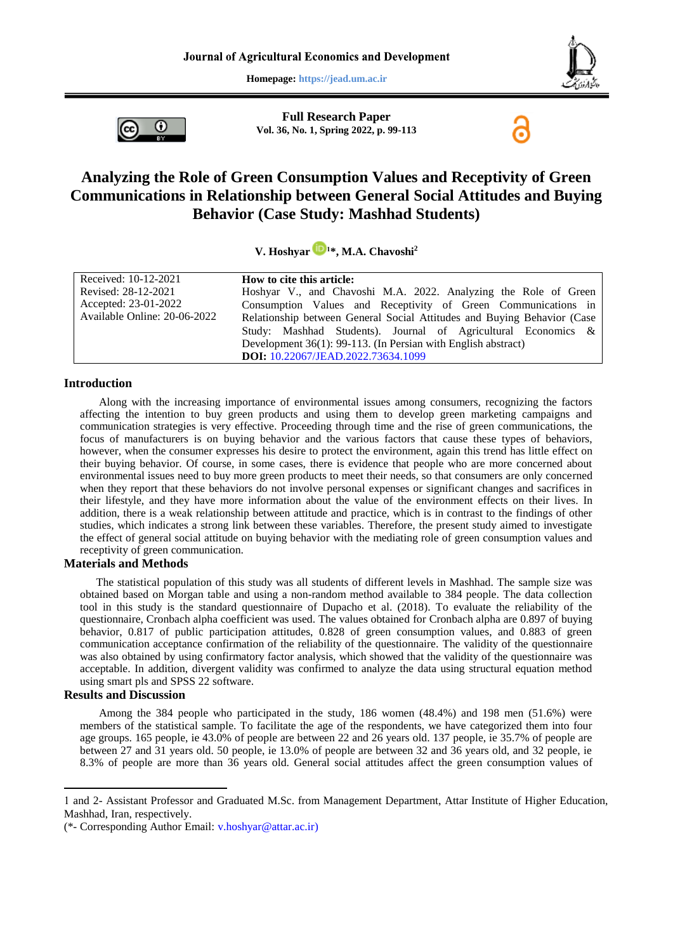**Homepage: https://jead.um.ac.ir**



**Full Research Paper Vol. 36, No. 1, Spring 2022, p. 99-113**



# **Analyzing the Role of Green Consumption Values and Receptivity of Green Communications in Relationship between General Social Attitudes and Buying Behavior (Case Study: Mashhad Students)**

### **V. Hoshyar <sup>1</sup>\*, M.A. Chavoshi<sup>2</sup>**

| Received: 10-12-2021         | How to cite this article:                                               |  |  |  |  |
|------------------------------|-------------------------------------------------------------------------|--|--|--|--|
| Revised: 28-12-2021          | Hoshyar V., and Chavoshi M.A. 2022. Analyzing the Role of Green         |  |  |  |  |
| Accepted: 23-01-2022         | Consumption Values and Receptivity of Green Communications in           |  |  |  |  |
| Available Online: 20-06-2022 | Relationship between General Social Attitudes and Buying Behavior (Case |  |  |  |  |
|                              | Study: Mashhad Students). Journal of Agricultural Economics &           |  |  |  |  |
|                              | Development 36(1): 99-113. (In Persian with English abstract)           |  |  |  |  |
|                              | DOI: 10.22067/JEAD.2022.73634.1099                                      |  |  |  |  |

#### **Introduction**

Along with the increasing importance of environmental issues among consumers, recognizing the factors affecting the intention to buy green products and using them to develop green marketing campaigns and communication strategies is very effective. Proceeding through time and the rise of green communications, the focus of manufacturers is on buying behavior and the various factors that cause these types of behaviors, however, when the consumer expresses his desire to protect the environment, again this trend has little effect on their buying behavior. Of course, in some cases, there is evidence that people who are more concerned about environmental issues need to buy more green products to meet their needs, so that consumers are only concerned when they report that these behaviors do not involve personal expenses or significant changes and sacrifices in their lifestyle, and they have more information about the value of the environment effects on their lives. In addition, there is a weak relationship between attitude and practice, which is in contrast to the findings of other studies, which indicates a strong link between these variables. Therefore, the present study aimed to investigate the effect of general social attitude on buying behavior with the mediating role of green consumption values and receptivity of green communication.

#### **Materials and Methods**

The statistical population of this study was all students of different levels in Mashhad. The sample size was obtained based on Morgan table and using a non-random method available to 384 people. The data collection tool in this study is the standard questionnaire of Dupacho et al. (2018). To evaluate the reliability of the questionnaire, Cronbach alpha coefficient was used. The values obtained for Cronbach alpha are 0.897 of buying behavior, 0.817 of public participation attitudes, 0.828 of green consumption values, and 0.883 of green communication acceptance confirmation of the reliability of the questionnaire. The validity of the questionnaire was also obtained by using confirmatory factor analysis, which showed that the validity of the questionnaire was acceptable. In addition, divergent validity was confirmed to analyze the data using structural equation method using smart pls and SPSS 22 software.

### **Results and Discussion**

**.** 

Among the 384 people who participated in the study, 186 women (48.4%) and 198 men (51.6%) were members of the statistical sample. To facilitate the age of the respondents, we have categorized them into four age groups. 165 people, ie 43.0% of people are between 22 and 26 years old. 137 people, ie 35.7% of people are between 27 and 31 years old. 50 people, ie 13.0% of people are between 32 and 36 years old, and 32 people, ie 8.3% of people are more than 36 years old. General social attitudes affect the green consumption values of

<sup>1</sup> and 2- Assistant Professor and Graduated M.Sc. from Management Department, Attar Institute of Higher Education, Mashhad, Iran, respectively.

<sup>(\*-</sup> Corresponding Author Email: [v.hoshyar@attar.ac.ir\)](mailto:v.hoshyar@attar.ac.ir)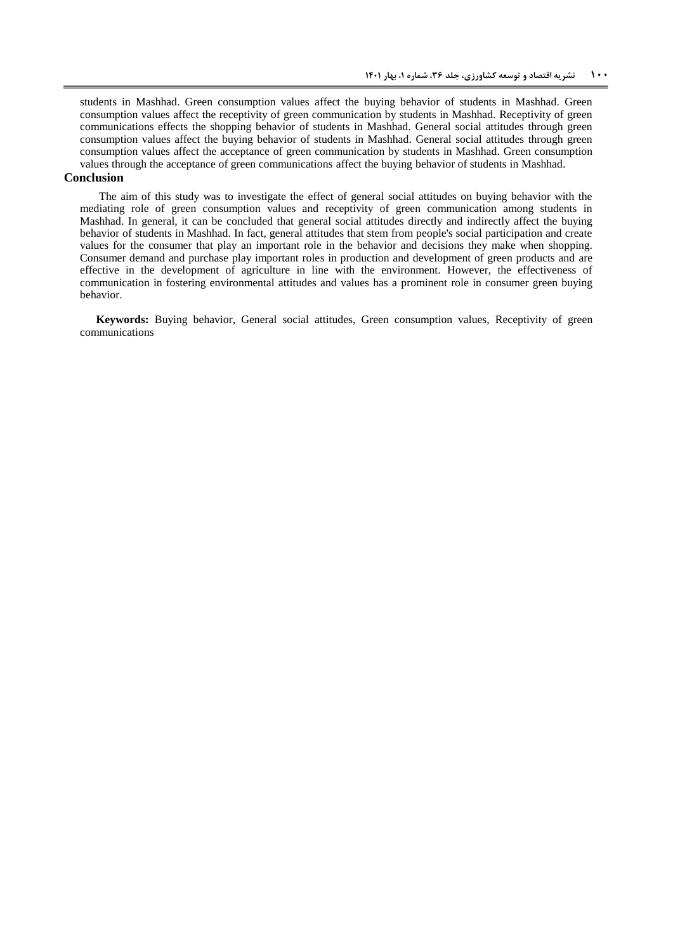students in Mashhad. Green consumption values affect the buying behavior of students in Mashhad. Green consumption values affect the receptivity of green communication by students in Mashhad. Receptivity of green communications effects the shopping behavior of students in Mashhad. General social attitudes through green consumption values affect the buying behavior of students in Mashhad. General social attitudes through green consumption values affect the acceptance of green communication by students in Mashhad. Green consumption values through the acceptance of green communications affect the buying behavior of students in Mashhad.

#### **Conclusion**

The aim of this study was to investigate the effect of general social attitudes on buying behavior with the mediating role of green consumption values and receptivity of green communication among students in Mashhad. In general, it can be concluded that general social attitudes directly and indirectly affect the buying behavior of students in Mashhad. In fact, general attitudes that stem from people's social participation and create values for the consumer that play an important role in the behavior and decisions they make when shopping. Consumer demand and purchase play important roles in production and development of green products and are effective in the development of agriculture in line with the environment. However, the effectiveness of communication in fostering environmental attitudes and values has a prominent role in consumer green buying behavior.

**Keywords:** Buying behavior, General social attitudes, Green consumption values, Receptivity of green communications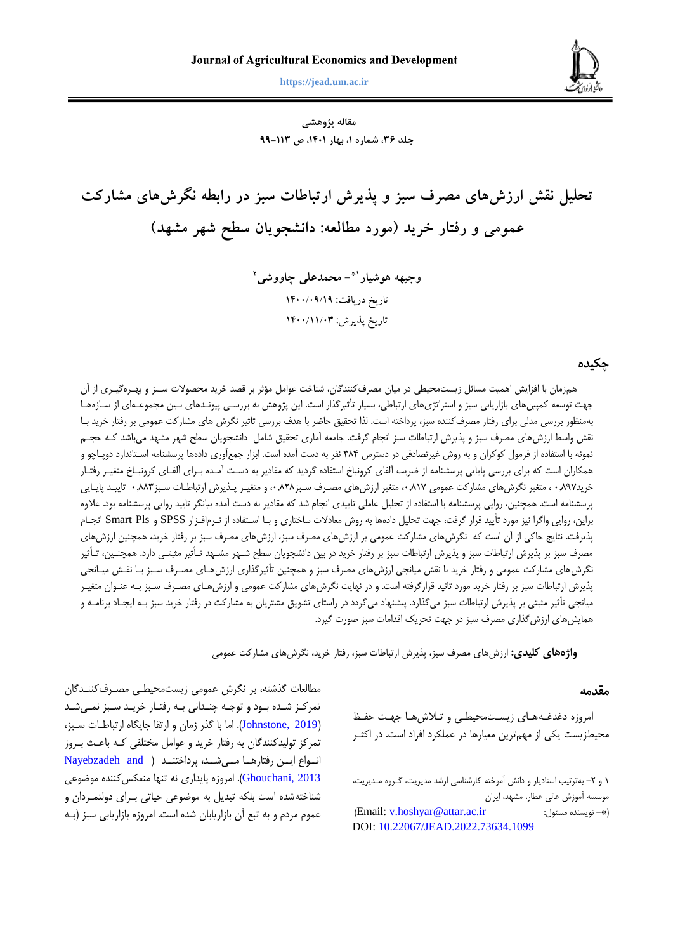

**هوشیار و چاووشی، تحلیل نقش ارزشهای مصرف سبز و پذیرش ارتباطات سبز در رابطه نگرشهای مشارکت ... 010 https://jead.um.ac.ir**

**مقاله پژوهشی جلد ،63 شماره ،1 بهار ،1041 ص 99-116**

**تحلیل نقش ارزشهای مصرف سبز و پذیرش ارتباطات سبز در رابطه نگرشهای مشارکت عمومی و رفتار خرید )مورد مطالعه: دانشجویان سطح شهر مشهد(**

> **- محمدعلی چاووشی 1\* وجیهه هوشیار 2** تاریخ دریافت: 9099/91/91 تاریخ پذیرش: ۱۴۰۰/۱۱/۰۳

### **چکیده**

همزمان با افزايش اهميت مسائل زيستمحيطی در ميان مصرفکنندگان، شناخت عوامل مؤثر بر قصد خريد محصوالت سبزز و بهبر گيب ری از آن جهت توسعه کمپينهای بازاريابی سبز و استراتژیهای ارتباطی، بسيار تأثيرگذار است. اين پژوهش به بررسـی پيونـدهای بـين مجموعـهای از سـازههـا بهمنظور بررسی مدلی برای رفتار مصرفکنند سزز، پرداخته است. لذا تحقيق حاضر با هدف بررسی تاثير نگرش های مشارکت عمومی بر رفتار خريد ببا نقش واسط ارزشهای مصرف سزز و پذيرش ارتزاطات سزز انجام گرفت. جامعه آماری تحقيق شامل دانشجويان سطح شهر مشهد میباشد کبه حجبم نمونه با استفاده از فرمول کوکران و به روش غیرتصادفی در دسترس ۳۸۴ نفر به دست آمده است. ابزار جمعآوری دادهها پرسشنامه اسـتاندارد دوپـاچو و همکاران است که برای بررسی پايايی پرسشنامه از ضريب آلفای کرونباخ استفاده گرديد که مقادير به دست آمـده بـرای آلفـای کرونبـاخ متغيـر رفتـار خريد٩٩٧. ، متغير نگرشهای مشارکت عمومی ٠,٨١٧ متغير ارزشهای مصـرف سـبز٨٢٨. و متغيـر پـذيرش ارتباطـات سـبز٨٨٣ · تاييـد پايـايی پرسشنامه است. همچنين، روايی پرسشنامه با استفاد از تحليل عاملی تاييدی انجام شد که مقادير به دست آمد بيانگر تاييد روايی پرسشنامه بود. عالو براين، روايي واگرا نيز مورد تأييد قرار گرفت، جهت تحليل دادهها به روش معادلات ساختاري و بـا اسـتفاده از نـرمافـزار Smart Pls و Smart Pls انجـام پذيرفت. نتايج حاکی از آن است که نگرشهای مشارکت عمومی بر ارزشهای مصرف سزز، ارزشهای مصرف سزز بر رفتار خريد، همچنين ارزشهای مصرف سبز بر پذيرش ارتباطات سبز و پذيرش ارتباطات سبز بر رفتار خريد در بين دانشجويان سطح شـهر مشـهد تـأثير مثبتـي دارد. همچنـين، تـأثير نگرشهای مشارکت عمومی و رفتار خريد با نقش ميانجی ارزشهای مصرف سبز و همچنين تأثيرگذاری ارزشهبای مصـرف سـبز بـا نقـش ميـانجی پذيرش ارتباطات سبز بر رفتار خريد مورد تائيد قرارگرفته است. و در نهايت نگرشهای مشارکت عمومی و ارزشهبای مصـرف سـبز بـه عنـوان متغيـر ميانجی تأثير مثزتی بر پذيرش ارتزاطات سزز میگذارد. پيشنهاد میگردد در راستای تشويق مشتريان به مشارکت در رفتار خريد سزز ببه ايجباد برنامبه و همايشهای ارزشگذاری مصرف سزز در جهت تحريک اقدامات سزز صورت گيرد.

**واژههای کلیدی:** ارزشهای مصرف سزز، پذيرش ارتزاطات سزز، رفتار خريد، نگرشهای مشارکت عمومی

**.** 

#### **مقدمه**

امروزه دغدغبههای زيست محيطبی و تبلاش هبا جهت حفيظ محيطزيست يکی از مهمترين معيارها در عملکرد افراد است. در اکثبر

مطالعات گذشته، بر نگرش عمومی زيستمحيطبی مصبرف کننبدگان تمرکـز شـده بـود و توجـه چنـدانی بـه رفتـار خريـد سـبز نمـیشـد (Johnstone, 2019). اما با گذر زمان و ارتقا جايگاه ارتباطات سبز، تمرکز توليدکنندگان به رفتار خريد و عوامل مختلفی کبه باعبب ببروز انبواع ايبن رفتارهبا مبي شبه، پرداختنبد ( Nayebzadeh and Ghouchani, 2013). امروزه پايداری نه تنها منعکس کننده موضوعی شناختهشده است بلکه تبديل به موضوعی حياتی بـرای دولتمـردان و عموم مردم و به تبع آن بازاريابان شده است. امروزه بازاريابی سبز (بـه

<sup>.</sup> و -. بهترتيب استاديار و دانش آموخته کارشناسی ارشد مديريت، گبرو مبديريت، موسسه آموزش عالی عطار، مشهد، ايران

)Email[: v.hoshyar@attar.ac.ir](mailto:v.hoshyar@attar.ac.ir) :مسئول نويسند -)\* DOI: [10.22067/JEAD.2022.73634.1099](https://dx.doi.org/10.22067/JEAD.2022.73634.1099)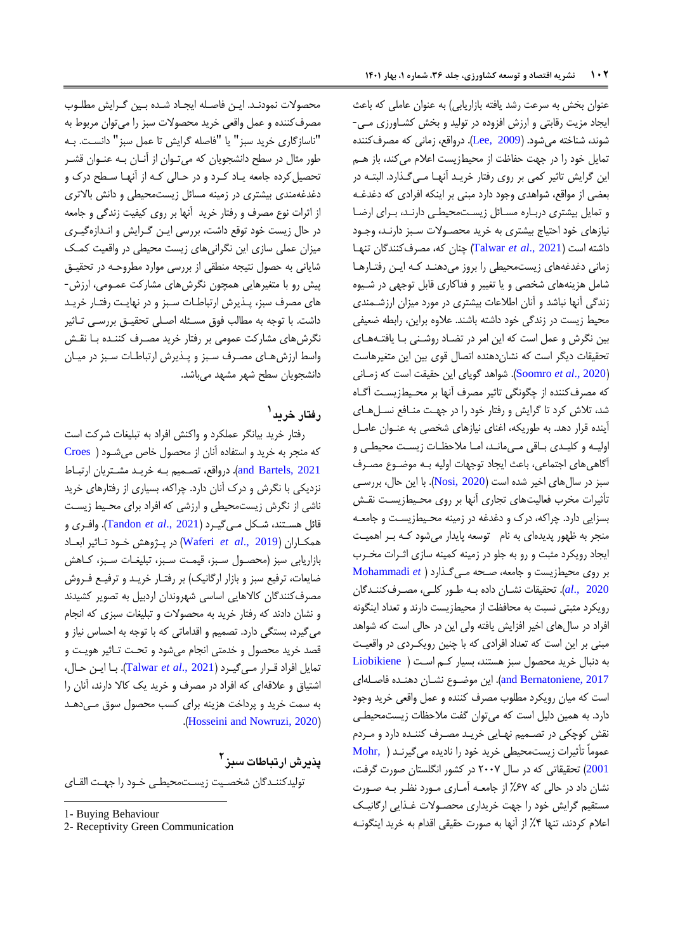عنوان بخش به سرعت رشد يافته بازاريابي) به عنوان عاملي كه باعث ايجاد مزيت رقابتی و ارزش افزود در توليد و بخش کشباورزی مب ی- شوند، شناخته میشود. )[2009 ,Lee](#page-13-1)). درواقع، زمانی که مصرفکنند تمايل خود را در جهت حفاظت از محيطزيست اعالم میکند، باز هبم اين گرايش تاثير کمی بر روی رفتار خريب د آنهبا مبی گبذارد . الزتبه در بعضی از مواقع، شواهدی وجود دارد مزنی بر اينکه افرادی که دغدغبه و تمايل بيشتری درباره مسائل زيست محيطبي دارند، برای ارضا نيازهای خود احتياج بيشتری به خريد محصبوالت سبزز دارنبد، وجبود داشته است )2021 .,*al et* [Talwar](#page-13-2) )نان که، مصرفکنندگان تنهبا زمانی دغدغههای زيستمحيطي را بروز میدهند كه اين رفتارها شامل هزينههای شخصی و يا تغيير و فداكاری قابل توجهی در شـيوه زندگی آنها نزاشد و آنان اطالعات بيشتری در مورد ميزان ارزشبمندی محيط زيست در زندگی خود داشته باشند. عالو براين، رابطه ضعيفی بين نگرش و عمل است كه اين امر در تضاد روشني با يافتههاي تحقيقات ديگر است كه نشان دهنده اتصال قوی بين اين متغيرهاست )2020 .,*al et* [Soomro](#page-13-3)). شواهد گويای اين حقيقت است که زمبانی که مصرفکننده از چگونگی تاثير مصرف آنها بر محيطزيست آگـاه شد، تلاش کرد تا گرايش و رفتار خود را در جهت منافع نسبل هباي آينده قرار دهد. به طوريکه، اغنای نيازهای شخصی به عنبوان عامل اوليبه و کليبدی بباقی مبیمانبد، امبا مالحظبات زيسبت محيطبی و آگاهی های اجتماعی، باعث ايجاد توجهات اوليه بـه موضـوع مصـرف سبز در سالهای اخير شده است (Nosi, 2020). با اين حال، بررسي تأثيرات مخرب فعاليتهای تجاری آنها بر روی محبيط زيسبت نقبش بسزايي دارد. چراکه، درک و دغدغه در زمينه محيطزيست و جامعـه منجر به ظهور پديد ای به نام توسعه پايدار میشود کبه ببر اهميبت ايجاد رويکرد مثزت و رو به جلو در زمينه کمينه سازی اثبرات مخبرب بر روی محيطزيست و جامعه، صبحه مبی گبذارد [\)](#page-13-5) *et* [Mohammadi](#page-13-5) [2020 .,](#page-13-5)*al*). تحقيقات نشبان داد ببه طبور کلبی، مصبرف کننبدگان رويکرد مثبتی نسبت به محافظت از محيطزيست دارند و تعداد اينگونه افراد در سالهای اخير افزايش يافته ولی اين در حالی است که شواهد مبنی بر اين است که تعداد افرادی که با چنين رويکردی در واقعيت به دنزال خريد محصول سزز هستند، بسيار کبم اسبت [\)](#page-13-6) [Liobikiene](#page-13-6) [2017 ,Bernatoniene and](#page-13-6)). اين موضبوا نشبان دهنبد فاصبله ای است که ميان رويکرد مطلوب مصرف کنند و عمل واقعی خريد وجود دارد. به همين دليل است که میتوان گفت مالحظات زيستمحيطبی نقش کوچکی در تصـميم نهـايی خريـد مصـرف کننـده دارد و مـردم عموماً تأثيرات زيستمحيطی خريد خود را ناديد میگيرنبد [\)](#page-13-7) [,Mohr](#page-13-7) [2001](#page-13-7)( تحقيقاتی که در سال .770 در کشور انگلستان صورت گرفت، نشان داد در حالی که %70 از جامعبه آمباری مبورد نظبر ببه صبورت مستقيم گرايش خود را جهت خريداری محصبوالت غبذايی ارگانيبک اعالم کردند، تنها %3 از آنها به صورت حقيقی اقدام به خريد اينگونبه

محصوالت نمودنبد. ايبن فاصبله ايجباد شبد ببين گبرايش مطلبوب مصرفکننده و عمل واقعی خريد محصولات سبز را میتوان مربوط به "ناسازگاری خريد سزز" يا "فاصله گرايش تا عمل سزز" دانسبت. ببه طور مثال در سطح دانشجويان که میتبوان از آنبان ببه عنبوان قشبر تحصيل کرده جامعه يـاد کـرد و در حـالی کـه از آنهـا سـطح درک و دغدغهمندی بيشتری در زمينه مسائل زيستمحيطی و دانش باالتری از اثرات نوع مصرف و رفتار خريد آنها بر روی کيفيت زندگی و جامعه در حال زيست خود توقع داشت، بررسی ايبن گبرايش و انبداز گيبری ميزان عملی سازی اين نگرانیهای زيست محيطی در واقعيت کمبک شايانی به حصول نتيجه منطقی از بررسی موارد مطروحبه در تحقيبق پيش رو با متغيرهايی همچون نگرش های مشارکت عمـومی، ارزش-های مصرف سزز، پبذيرش ارتزاطبات سبزز و در نهايبت رفتبار خريبد داشت. با توجه به مطالب فوق مسبئله اصبلی تحقيبق بررسبی تباثير نگرشهای مشارکت عمومی بر رفتار خريد مصبرف کننبد ببا نقبش واسط ارزشهبای مصرف سبز و پنديرش ارتباطات سبز در ميبان دانشجويان سطح شهر مشهد میباشد.

# **1 رفتار خرید**

رفتار خريد بيانگر عملکرد و واکنش افراد به تزلي ات شرکت است که منجر به خريد و استفاد آنان از محصول خاص میشبود [\)](#page-12-0) [Croes](#page-12-0) and Bartels, 2021). درواقع، تصميم به خريد مشتريان ارتباط نزديکی با نگرش و درک آنان دارد. راکه، بسياری از رفتارهای خريد ناشی از نگرش زيستمحيطی و ارزشی که افراد برای محبيط زيسبت قائل هسبتند، شبکل مبی گيبرد ) 2021 .,*al et* [Tandon](#page-13-8)). وافبری و همکباران )[2019 .,](#page-13-9)*al et* Waferi )در پبژوهش خبود تباثير ابعباد بازاريابي سبز (محصول سبز، قيمت سبز، تبليغـات سـبز، كـاهش ضايعات، ترفيع سبز و بازار ارگانيک) بر رفتـار خريـد و ترفيـع فـروش مصرفکنندگان کاالهايی اساسی شهروندان اردبيل به تصوير کشيدند و نشان دادند که رفتار خريد به محصولات و تبليغات سبزی که انجام میگيرد، بستگی دارد. تصميم و اقداماتی که با توجه به احساس نياز و قصد خريد محصول و خدمتی انجام میشود و تحبت تباثير هويبت و تمايل افراد قبرار مبی گيبرد ) 2021 .,*al et* [Talwar](#page-13-2)). ببا ايبن حبال، اشتياق و عالقهای که افراد در مصرف و خريد يک کاال دارند، آنان را به سمت خريد و پرداخت هزينه برای کسب محصول سوق مبی دهبد .([Hosseini and Nowruzi, 2020](#page-12-1))

**2 پذیرش ارتباطات سبز**

توليدکننبدگان شخصبيت زيسبتمحيطبی خبود را جهبت القبای

-

2- Receptivity Green Communication

<sup>1-</sup> Buying Behaviour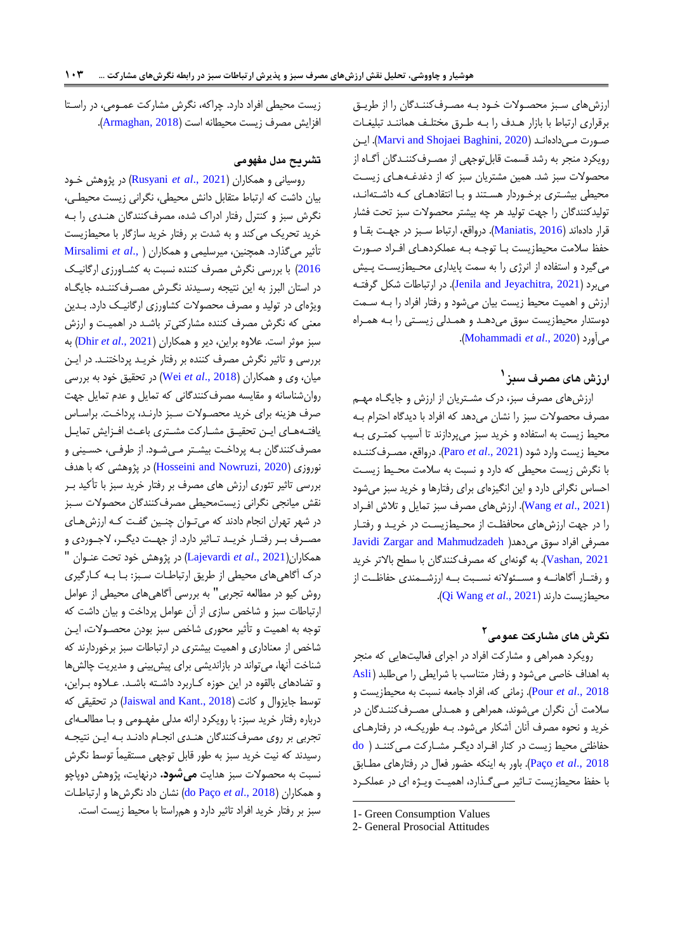ارزشهای سبزز محصبوالت خبود ببه مصبرف کننبدگان را از طريبق برقراری ارتباط با بازار هدف را بـه طـرق مختلـف هماننـد تبليغـات صبورت مبی دادهانبد (2020 ,Marvi and Shojaei Baghini). اين رويکرد منجر به رشد قسمت قابلتوجهی از مصبرف کننبدگان آگبا از محصوالت سزز شد. همين مشتريان سزز که از دغدغبه هبای زيسبت محیطی بیشتری برخبوردار هستند و با انتقادهای کبه داشتهاند، توليدكنندگان را جهت توليد هر چه بيشتر محصولات سبز تحت فشار قرار دادهاند (Maniatis, 2016). درواقع، ارتباط سبز در جهت بقبا و حفظ سلامت محيطزيست بـا توجـه بـه عملكردهـای افـراد صـورت میگيرد و استفاده از انرژی را به سمت پايداری محيطزيست پيش میبرد (Jenila and Jeyachitra, 2021). در ارتباطات شکل گرفته ارزش و اهميت محيط زيست بيان میشود و رفتار افراد را ببه سبمت دوستدار محيطزيست سوق میدهبد و همبدلی زيسبتی را ببه همبرا .)[Mohammadi](#page-13-5) *et al*., 2020( میآورد

# **1 ارزش های مصرف سبز**

ارزشهای مصرف سزز، درک مشبتريان از ارزش و جايگبا مهبم مصرف محصولات سبز را نشان میدهد که افراد با دیدگاه احترام ب محيط زيست به استفاد و خريد سزز میپردازند تا آسيب کمتبری ببه محيط زيست وارد شود )[2021 .,](#page-13-13)*al et* Paro). درواقع، مصبرف کننبد با نگرش زيست محيطی که دارد و نسزت به سالمت محبيط زيسبت احساس نگرانی دارد و اين انگيز ای برای رفتارها و خريد سزز میشود )[2021 .,](#page-13-14)*al et* Wang). ارزشهای مصرف سزز تمايل و تالش افبراد را در جهت ارزشهای محافظت از محـيطزيسـت در خريـد و رفتـار Javidi Zargar and Mahmudzadeh [\)](#page-12-2)مصرفی افراد سوق می دهد [2021 ,Vashan](#page-12-2)). به گونهای که مصرفکنندگان با سطح باالتر خريد و رفتـار آگاهانــه و مســئولانه نســبت بــه ارزشــمندی حفاظــت از .)[Qi Wang](#page-13-15) *et al*., 2021( دارند محيطزيست

# **2 نگرش های مشارکت عمومی**

رويکرد همراهی و مشارکت افراد در اجرای فعاليتهايی که منجر به اهداف خاصی میشود و رفتار متناسب با شرايطی را میطلزد [\)](#page-12-3) [Asli](#page-12-3) [2018 .,](#page-12-3)*al et* Pour). زمانی که، افراد جامعه نسزت به محيطزيست و سالمت آن نگران میشوند، همراهی و همبدلی مصبرف کننبدگان در خريد و نحوه مصرف آنان آشکار میشود. بـه طوريکـه، در رفتارهـای حفاظتی محيط زيست در کنار افبراد ديگبر مشبارکت مبی کننبد [\)](#page-12-4) [do](#page-12-4) [2018 .,](#page-12-4)*al et* Paço). باور به اينکه حضور فعال در رفتارهای مطبابق با حفظ محيطزيست تاثير مبي گذارد، اهميت ويبژه اي در عملكرد

**.** 

زيست محيطی افراد دارد. راکه، نگرش مشارکت عمبومی، در راسبتا افزايش مصرف زيست محيطانه است )[2018 ,Armaghan](#page-12-5)).

## **تشریح مدل مفهومی**

روسيانی و همکاران )2021 .,*al et* [Rusyani](#page-13-16) )در پژوهش خبود بيان داشت که ارتزاط متقابل دانش محيطی، نگرانی زيست محيطب ی، نگرش سبز و کنترل رفتار ادراک شده، مصرفکنندگان هنبدی را ببه خريد تحريک میکند و به شدت بر رفتار خريد سازگار با محيطزيست تأثير میگذارد. همچنين، ميرسليمی و همکاران [\)](#page-13-17) .,*al et* [Mirsalimi](#page-13-17) [2016](#page-13-17)) با بررسی نگرش مصرف کننده نسبت به کشـاورزی ارگانيـک در استان البرز به اين نتيجه رسـيدند نگـرش مصـرفکننـده جايگـاه ويژ ای در توليد و مصرف محصوالت کشاورزی ارگانيبک دارد. ببدين معنی که نگرش مصرف کنند مشارکتیتر باشبد در اهميبت و ارزش سزز موثر است. عالو براين، دير و همکاران )[2021 .,](#page-12-6)*al et* Dhir )به بررسی و تاثير نگرش مصرف کنند بر رفتار خريبد پرداختنبد. در ايبن ميان، وی و همکاران )[2018 .,](#page-14-0)*al et* Wei )در تحقيق خود به بررسی روانشناسانه و مقايسه مصرفکنندگانی که تمايل و عدم تمايل جهت صرف هزينه برای خريد محصبوالت سبزز دارنبد، پرداخبت. براسباس يافتههای اين تحقيق مشاركت مشتری باعث افزايش تمايل مصرفکنندگان ببه پرداخبت بيشبتر مبی شبود. از طرفبی، حسبينی و نوروزی )[2020 ,Nowruzi and Hosseini](#page-12-1) )در پژوهشی که با هدف بررسی تاثير تئوری ارزش های مصرف بر رفتار خريد سزز با تأکيد ببر نقش ميانجی نگرانی زيستمحيطی مصرفکنندگان محصوالت سبزز در شهر تهران انجام دادند که میتوان چنـين گفـت کـه ارزش هـای مصـرف بـر رفتـار خريــد تــاثير دارد. از جهــت ديگــر، لاجــوردي و همکاران)2021 .,*al et* [Lajevardi](#page-13-18) )در پژوهش خود تحت عنبوان " درک آگاهیهای محيطی از طريق ارتزاطبات سبزز: ببا ببه کبارگيری روش کيو در مطالعه تجربی" به بررسی آگاهیهای محيطی از عوامل ارتزاطات سزز و شاخص سازی از آن عوامل پرداخت و بيان داشت که توجه به اهميت و تأثير محوری شاخص سزز بودن محصبوالت، ايبن شاخص از معناداری و اهميت بيشتری در ارتزاطات سزز برخوردارند که شناخت آنها، میتواند در بازانديشی برای پيش بينی و مديريت چالشها و تضادهای بالقوه در اين حوزه کـاربرد داشـته باشـد. عـلاوه بـراين، توسط جايزوال و کانت (Jaiswal and Kant., 2018) در تحقيقی که درباره رفتار خريد سبز: با رويکرد ارائه مدلی مفهبومی و ببا مطالعبهای تجربی بر روی مصرفکنندگان هنبدی انجبام دادنبد ببه ايبن نتيجبه رسيدند که نيت خريد سزز به طور قابل توجهی مستقيماً توسط نگرش نسبت به محصولات سبز هدايت **می شود.** درنهايت، پژوهش دوپاچو و همکاران )2018 .,*al et* [Paço do](#page-12-7) )نشان داد نگرشها و ارتزاطبات سزز بر رفتار خريد افراد تاثير دارد و همراستا با محيط زيست است.

<sup>1-</sup> Green Consumption Values

<sup>2-</sup> General Prosocial Attitudes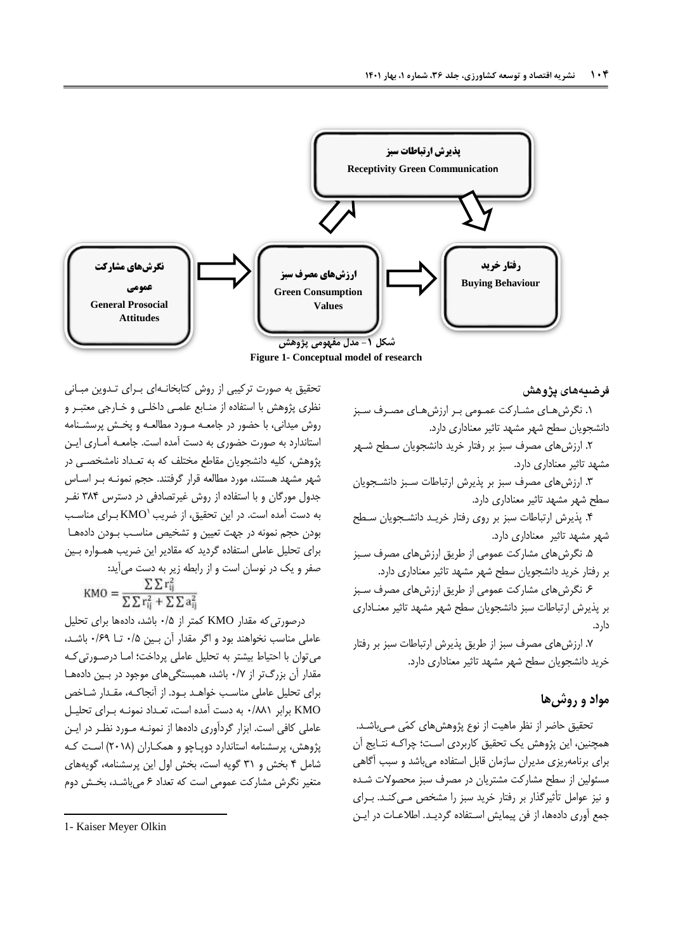

**Figure 1- Conceptual model of research**

**فرضیههای پژوهش**

.. نگرشهبای مشبارکت عمبومی ببر ارزش هبای مصبرف سبزز دانشجويان سطح شهر مشهد تاثير معناداری دارد.

.. ارزشهای مصرف سزز بر رفتار خريد دانشجويان سبطح شبهر مشهد تاثير معناداری دارد.

.4 ارزشهای مصرف سزز بر پذيرش ارتزاطات سبزز دانشبجو يان سطح شهر مشهد تاثير معناداری دارد.

.3 پذيرش ارتزاطات سزز بر روی رفتار خريب د دانشبجو يان سبطح شهر مشهد تاثير معناداری دارد.

.5 نگرشهای مشارکت عمومی از طريق ارزشهای مصرف سبزز بر رفتار خريد دانشجويان سطح شهر مشهد تاثير معناداری دارد.

.7 نگرشهای مشارکت عمومی از طريق ارزشهای مصرف سبزز بر پذيرش ارتزاطات سزز دانشجويان سطح شهر مشهد تاثير معنباداری دارد.

.0 ارزشهای مصرف سزز از طريق پذيرش ارتزاطات سزز بر رفتار خريد دانشجويان سطح شهر مشهد تاثير معناداری دارد.

# **مواد و روشها**

تحقيق حاضر از نظر ماهيت از نوع پژوهشهای کمّی مـیباشـد. همچنين، اين پژوهش يک تحقيق کاربردی است؛ چراکـه نتـايج آن برای برنامهريزی مديران سازمان قابل استفاد میباشد و سزب آگاهی مسئولين از سطح مشارکت مشتريان در مصرف سزز محصوالت شبد و نيز عوامل تأثيرگذار بر رفتار خريد سزز را مشخص مبی کنب د. ببرای جمع آوری دادهها، از فن پيمايش اسـتفاده گرديــد. اطلاعــات در ايــن

تحقيق به صورت ترکيبي از روش کتابخانـهای بـرای تـدوين مبـانی نظری پژوهش با استفاده از منـابع علمـی داخلـی و خـارجی معتبـر و روش ميدانی، با حضور در جامعبه مبورد مطالعبه و پخبش پرسشبنامه استاندارد به صورت حضوری به دست آمده است. جامعــه آمــاری ايــن پژوهش، کليه دانشجويان مقاطع مختلف که به تعـداد نامشخصــی در شهر مشهد هستند، مورد مطالعه قرار گرفتند. حجم نمونبه ببر اسباس جدول مورگان و با استفاد از روش غيرتصادفی در دسترس 483 نفب ر به دست آمده است. در اين تحقيق، از ضريب KMO بـرای مناسـب بودن حجم نمونه در جهت تعيين و تشخيص مناسب بـودن دادههـا برای تحليل عاملی استفاده گرديد که مقادير اين ضريب همبواره ببين صفر و يک در نوسان است و از رابطه زير به دست میآيد:  $\Sigma \Sigma$ r  $\cdots$ 

$$
KMO = \frac{1}{\sum \sum r_{ij}^2 + \sum \sum a_i^2}
$$

درصورتیکه مقدار KMO کمتر از 7/5 باشد، داد ها برای تحليل عاملی مناسب نخواهند بود و اگر مقدار آن ببين 7/5 تبا 7/7. باشبد ، میتوان با احتياط بيشتر به تحليل عاملی پرداخت امبا درصبورتی کبه مقدار آن بزرگتر از 7/0 باشد، همزستگیهای موجود در ببين داد هبا برای تحليل عاملی مناسبب خواهبد ببود . از آنجاکب ه، مقبدار شباخص KMO برابر 7/88. به دست آمد است، تعبداد نمونبه ببرای تحليبل عاملی کافی است. ابزار گردآوری دادهها از نمونـه مـورد نظـر در ايـن پژوهش، پرسشنامه استاندارد دوپـاچو و همکـاران (۲۰۱۸) اسـت کـه شامل 3 بخش و 4. گويه است، بخش اول اين پرسشنامه، گويههای متغير نگرش مشارکت عمومی است که تعداد ۶ میباشد، بخش دوم

1

<sup>1-</sup> Kaiser Meyer Olkin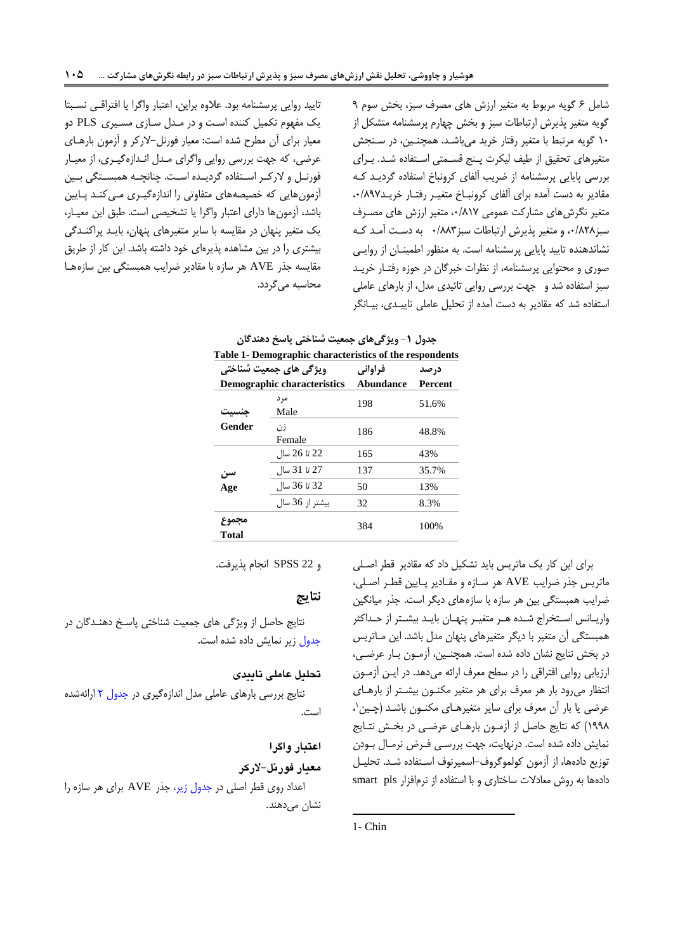تاييد روايی پرسشنامه بود. علاوه براين، اعتبار واگرا يا افتراقبی نسبتا يک مفهوم تکميل کنند اسبت و در مبدل سبازی مسبيری PLS دو معيار برای آن مطرح شد است: معيار فورنل-الرکر و آزمون بارهبای عرضی، که جهت بررسی روايی واگرای مبدل انبداز گيبری، از معيبار فورنـل و لارکـر اسـتفاده گرديـده اسـت. چنانچـه همبسـتگی بـين آزمونهايی که خصيصههای متفاوتی را انداز گيبری مبی کنبد پبا يين باشد، آزمونها دارای اعتبار واگرا يا تشخيصی است. طبق اين معيـار، يک متغير پنهان در مقايسه با ساير متغيرهای پنهان، بايـد پراکنـدگی بيشتری را در بين مشاهده پذيرهای خود داشته باشد. اين کار از طريق مقايسه جذر AVE هر سازه با مقادير ضرايب همبستگی بين سازههـا محاسبه می گردد. شامل ۶ گويه مربوط به متغير ارزش های مصرف سبز، بخش سوم ۹ گويه متغير پذيرش ارتباطات سبز و بخش چهارم پرسشنامه متشکل از ١٠ گويه مرتبط با متغير رفتار خريد مىباشـد. همچنـين، در سـنجش متغيرهای تحقيق از طيف ليكرت پنج قسمتی استفاده شد. برای بررسی پايايی پرسشنامه از ضريب آلفای کرونباخ استفاده گرديـد کـه مقادير به دست آمده برای آلفای کرونباخ متغيـر رفتـار خريـد٨٩٧. متغير نگرش های مشارکت عمومی ٠/٨١٧، متغير ارزش های مصـرف سبز۱۸۲۸.8 و متغير پذيرش ارتباطات سبز۱۸۸۳ به دست آمـد کـه نشاندهند تاييد پايايی پرسشنامه است. به منظور اطمينبان از روايبی صوری و محتوايی پرسشنامه، از نظرات خبرگان در حوزه رفتبار خريب سبز استفاده شد و جهت بررسی روايی تائيدی مدل، از بارهای عاملی استفاده شد که مقادير به دست آمده از تحليل عاملی تاييــدی، بيــانگر

| جدوں 1 – ویر نے مای جمعیت سنا <i>ختی</i> یاسح دھند تان  |                             |           |                |  |
|---------------------------------------------------------|-----------------------------|-----------|----------------|--|
| Table 1- Demographic characteristics of the respondents |                             |           |                |  |
| ویژگی های جمعیت شناختی                                  |                             | فراواني   | در صد          |  |
|                                                         | Demographic characteristics | Abundance | <b>Percent</b> |  |
|                                                         | مر د<br>Male                | 198       | 51.6%          |  |
| Gender                                                  | زر'،<br>Female              | 186       | 48.8%          |  |
|                                                         | 22 تا 26 سال                | 165       | 43%            |  |
| سن                                                      | 27 تا 31 سال                | 137       | 35.7%          |  |
| Age                                                     | 32 تا 36 سال                | 50        | 13%            |  |
|                                                         | ىشتر از 36 سال              | 32        | 8.3%           |  |
| مجموح<br><b>Total</b>                                   |                             | 384       | 100%           |  |

<span id="page-6-0"></span>**جدول -1 ویژگیهای جمعیت شناختی پاسخ دهندگان**

و 22 SPSS انجام پذيرفت.

### **نتایج**

نتايج حاصل از ويژگی های جمعيت شناختی پاسب دهنبدگان در [جدول](#page-6-0) زير نمايش داده شده است.

### **تحلیل عاملی تاییدی**

نتايج بررسی بارهای عاملی مدل اندازهگيری در جدول ٢ ارائهشده است.

### **اعتبار واگرا**

#### **معیار فورنل-الرکر**

اعداد روی قطر اصلی در [جدول زير،](#page-8-0) جذر AVE برای هر سازه را نشا*ن* میدهند.

برای اين کار يک ماتريس بايد تشکيل داد که مقادير قطر اصبلی ماتريس جذر ضرايب AVE هر سباز و مقبادير پبايين قطبر اصبلی، ضرايب همبستگی بين هر سازه با سازههای ديگر است. جذر ميانگين واريـانس اسـتخراج شـده هـر متغيـر پنهـان بايـد بيشـتر از حـداکثر همبستگی آن متغير با ديگر متغيرهای پنهان مدل باشد. اين مـاتريس در بخش نتايج نشان داده شده است. همچنـين، آزمـون بـار عرضـى، ارزيابی روايی افتراقی را در سطح معرف ارائه میدهد. در ايبن آزمبون انتظار میرود بار هر معرف برای هر متغير مکنون بيشتر از بارهبای عرضی يا بار أن معرف برای ساير متغيرهـای مکنــون باشــد (چــين`، ...8( که نتايج حاصل از آزمبون بارهبای عرضبی در بخبش نتبايج نمايش داده شده است. درنهايت، جهت بررسبی فبرض نرمـال بـودن توزيع دادهها، از آزمون كولموگروف-اسميرنوف استفاده شـد. تحليـل دادهها به روش معادلات ساختاری و با استفاده از نرمافزار smart pls

 $\overline{a}$ 

<sup>1-</sup> Chin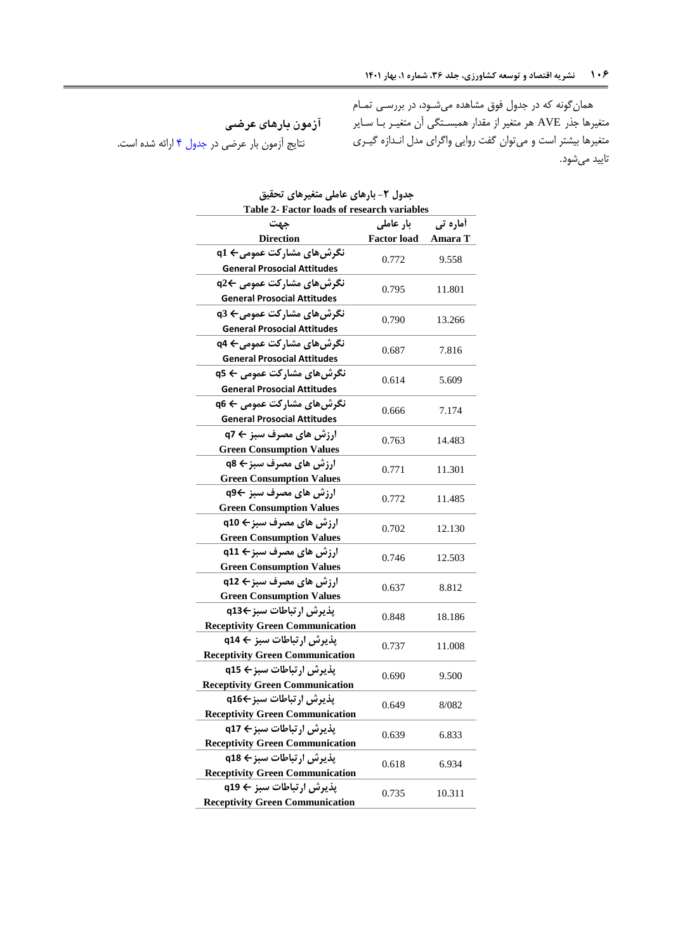<span id="page-7-0"></span>**آزمون بارهای عرضی** نتايج آزمون بار عرضی در جدول ۴ ارائه شده است.

همانگونه که در جدول فوق مشاهده میشبود، در بررسبی تمـام متغيرها جذر AVE هر متغير از مقدار همبسـتگي آن متغيــر بــا ســاير متغيرها بيشتر است و ميتوان گفت روايي واگراي مدل انـدازه گيـري تاييد میشود.

| Table 2- Factor loads of research variables                        |                    |                 |  |  |
|--------------------------------------------------------------------|--------------------|-----------------|--|--|
| جهت                                                                | بار عاملی          | <b>أماره تي</b> |  |  |
| <b>Direction</b>                                                   | <b>Factor load</b> | Amara T         |  |  |
| نگرش های مشارکت عمومی← q1                                          | 0.772              | 9.558           |  |  |
| <b>General Prosocial Attitudes</b>                                 |                    |                 |  |  |
| نگرشھای مشارکت عمومی ←q2                                           | 0.795              | 11.801          |  |  |
| <b>General Prosocial Attitudes</b>                                 |                    |                 |  |  |
| نگرشھای مشارکت عمومی← q3                                           | 0.790              | 13.266          |  |  |
| <b>General Prosocial Attitudes</b>                                 |                    |                 |  |  |
| نگرشھای مشارکت عمومی← q4                                           | 0.687              | 7.816           |  |  |
| <b>General Prosocial Attitudes</b>                                 |                    |                 |  |  |
| نگرشھای مشارکت عمومی ← q5                                          | 0.614              | 5.609           |  |  |
| <b>General Prosocial Attitudes</b>                                 |                    |                 |  |  |
| نگرش های مشارکت عمومی ← q6                                         | 0.666              | 7.174           |  |  |
| <b>General Prosocial Attitudes</b>                                 |                    |                 |  |  |
| ارزش های مصرف سبز ← q7                                             | 0.763              | 14.483          |  |  |
| <b>Green Consumption Values</b>                                    |                    |                 |  |  |
| ارزش های مصرف سبز← q8                                              | 0.771              | 11.301          |  |  |
| <b>Green Consumption Values</b>                                    |                    |                 |  |  |
| ارزش های مصرف سبز ←q9                                              | 0.772              | 11.485          |  |  |
| <b>Green Consumption Values</b>                                    |                    |                 |  |  |
| ارزش های مصرف سبز← q10                                             | 0.702              | 12.130          |  |  |
| <b>Green Consumption Values</b>                                    |                    |                 |  |  |
| ارزش های مصرف سبز← q11                                             | 12.503             |                 |  |  |
| 0.746<br><b>Green Consumption Values</b>                           |                    |                 |  |  |
| ارزش های مصرف سبز← q12                                             | 0.637              | 8.812           |  |  |
| <b>Green Consumption Values</b>                                    |                    |                 |  |  |
| پذيرش ارتباطات سبز←q13                                             | 0.848              | 18.186          |  |  |
| <b>Receptivity Green Communication</b>                             |                    |                 |  |  |
| پذیرش ارتباطات سبز ← q14                                           | 0.737              | 11.008          |  |  |
| <b>Receptivity Green Communication</b>                             |                    |                 |  |  |
| پذيرش ارتباطات سبز ← q15                                           | 0.690              | 9.500           |  |  |
| <b>Receptivity Green Communication</b>                             |                    |                 |  |  |
| پذیرش ارتباطات سبز←q16                                             | 0.649              | 8/082           |  |  |
| <b>Receptivity Green Communication</b>                             |                    |                 |  |  |
| پذيرش ارتباطات سبز← q17                                            | 0.639              | 6.833           |  |  |
| <b>Receptivity Green Communication</b>                             |                    |                 |  |  |
| پذيرش ارتباطات سبز ← q18                                           | 0.618              | 6.934           |  |  |
| <b>Receptivity Green Communication</b>                             |                    |                 |  |  |
| پذیرش ارتباطات سبز ← q19<br><b>Receptivity Green Communication</b> | 0.735              | 10.311          |  |  |
|                                                                    |                    |                 |  |  |

|                                            |  | جدول ۲- بارهای عاملی متغیرهای تحقیق |  |
|--------------------------------------------|--|-------------------------------------|--|
| Toble 2. Foctor loads of research variable |  |                                     |  |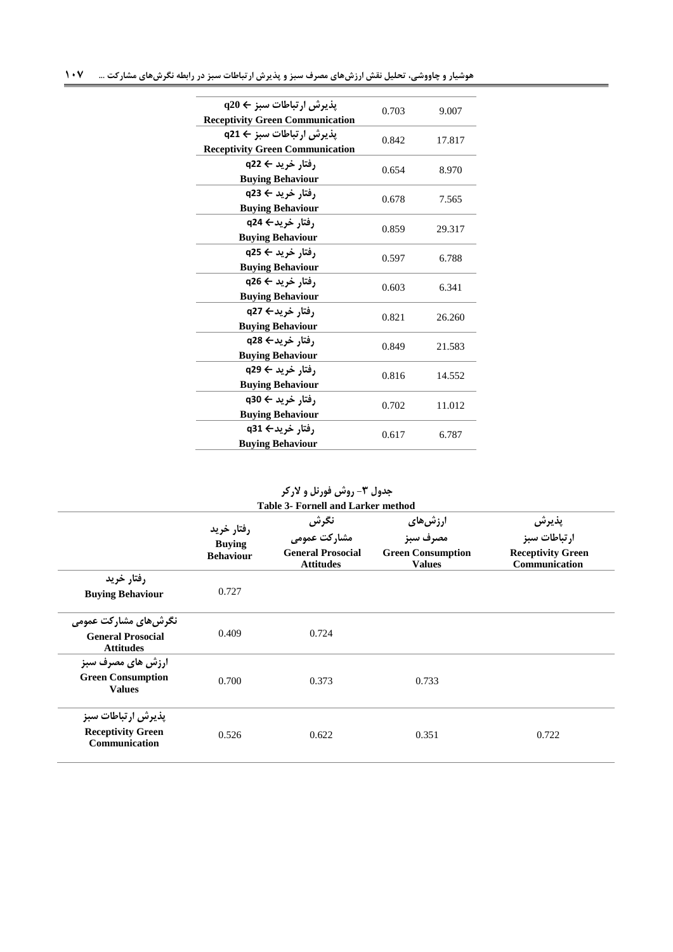| $\mathbf{q} \cdot \mathbf{q} \cdot \mathbf{q} \cdot \mathbf{q}$ یذیرش ارتباطات سیز<br><b>Receptivity Green Communication</b> | 0.703 | 9.007  |
|------------------------------------------------------------------------------------------------------------------------------|-------|--------|
| پذيرش ارتباطات سبز ← q21<br><b>Receptivity Green Communication</b>                                                           | 0.842 | 17.817 |
| رفتار خرید ← q22<br><b>Buying Behaviour</b>                                                                                  | 0.654 | 8.970  |
| رفتار خرید ← q23<br><b>Buying Behaviour</b>                                                                                  | 0.678 | 7.565  |
| رفتار خريد← q24<br><b>Buying Behaviour</b>                                                                                   | 0.859 | 29.317 |
| رفتار خرید ← q25<br><b>Buying Behaviour</b>                                                                                  | 0.597 | 6.788  |
| رفتار خرید ← q26<br><b>Buying Behaviour</b>                                                                                  | 0.603 | 6.341  |
| رفتار خريد← q27<br><b>Buying Behaviour</b>                                                                                   | 0.821 | 26.260 |
| رفتار خريد← q28<br><b>Buying Behaviour</b>                                                                                   | 0.849 | 21.583 |
| رفتار خرید ← q29<br><b>Buying Behaviour</b>                                                                                  | 0.816 | 14.552 |
| رفتار خرید ← q30<br><b>Buying Behaviour</b>                                                                                  | 0.702 | 11.012 |
| رفتار خريد← q31<br><b>Buying Behaviour</b>                                                                                   | 0.617 | 6.787  |

<span id="page-8-0"></span>**جدول -3 روش فورنل و الرکر**

|                                                                       | رفتار خريد<br><b>Buying</b><br><b>Behaviour</b> | نگرش<br>مشارکت عمومی<br><b>General Prosocial</b><br><b>Attitudes</b> | ارزشىھاى<br>مصرف سبز<br><b>Green Consumption</b><br><b>Values</b> | پذيرش<br>ارتباطات سبز<br><b>Receptivity Green</b><br>Communication |
|-----------------------------------------------------------------------|-------------------------------------------------|----------------------------------------------------------------------|-------------------------------------------------------------------|--------------------------------------------------------------------|
| رفتار خريد<br><b>Buying Behaviour</b>                                 | 0.727                                           |                                                                      |                                                                   |                                                                    |
| نگرش های مشارکت عمومی<br><b>General Prosocial</b><br><b>Attitudes</b> | 0.409                                           | 0.724                                                                |                                                                   |                                                                    |
| <b>ارزش های مصرف سبز</b><br><b>Green Consumption</b><br><b>Values</b> | 0.700                                           | 0.373                                                                | 0.733                                                             |                                                                    |
| يذيرش ارتباطات سبز<br><b>Receptivity Green</b><br>Communication       | 0.526                                           | 0.622                                                                | 0.351                                                             | 0.722                                                              |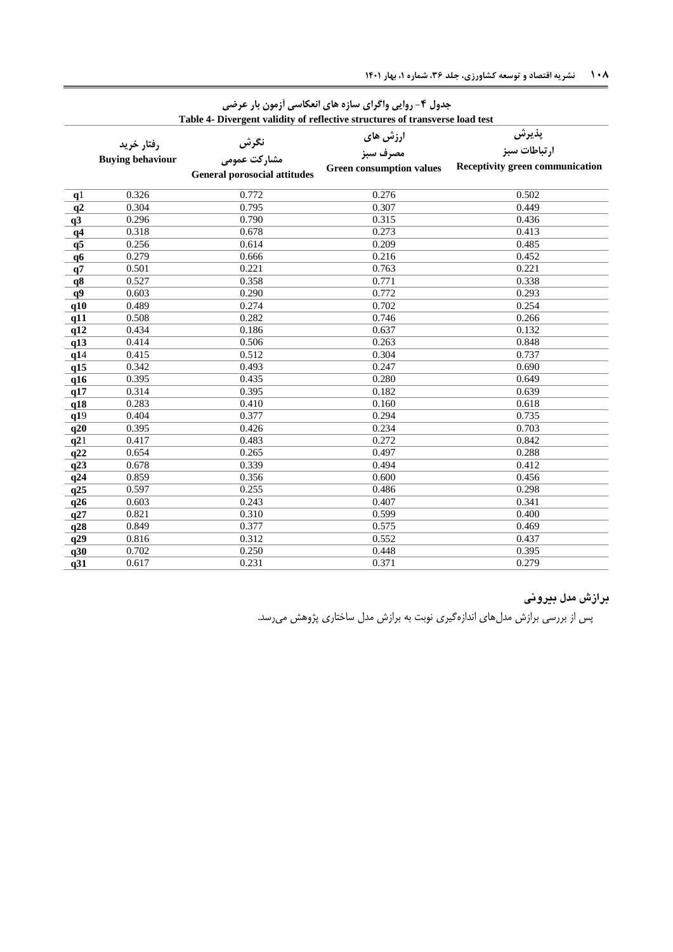| Table 4- Divergent validity of reflective structures of transverse load test |                         |                                     |                                 |                                 |  |
|------------------------------------------------------------------------------|-------------------------|-------------------------------------|---------------------------------|---------------------------------|--|
| رفتار خريد                                                                   |                         | نگرش                                | ارزش های                        | پذيرش                           |  |
|                                                                              |                         |                                     | مصرف سبز                        | ارتباطات سبز                    |  |
|                                                                              | <b>Buying behaviour</b> | مشاركت عمومى                        | <b>Green consumption values</b> | Receptivity green communication |  |
|                                                                              |                         | <b>General porosocial attitudes</b> |                                 |                                 |  |
| q <sub>1</sub>                                                               | 0.326                   | 0.772                               | 0.276                           | 0.502                           |  |
| q2                                                                           | 0.304                   | 0.795                               | 0.307                           | 0.449                           |  |
| q3                                                                           | 0.296                   | 0.790                               | 0.315                           | 0.436                           |  |
| q <sub>4</sub>                                                               | 0.318                   | 0.678                               | 0.273                           | 0.413                           |  |
| q5                                                                           | 0.256                   | 0.614                               | 0.209                           | 0.485                           |  |
| q6                                                                           | 0.279                   | 0.666                               | 0.216                           | 0.452                           |  |
| q7                                                                           | 0.501                   | 0.221                               | 0.763                           | 0.221                           |  |
| q8                                                                           | 0.527                   | 0.358                               | 0.771                           | 0.338                           |  |
| q9                                                                           | 0.603                   | 0.290                               | 0.772                           | 0.293                           |  |
| q10                                                                          | 0.489                   | 0.274                               | 0.702                           | 0.254                           |  |
| q11                                                                          | 0.508                   | 0.282                               | 0.746                           | 0.266                           |  |
| q12                                                                          | 0.434                   | 0.186                               | 0.637                           | 0.132                           |  |
| q13                                                                          | 0.414                   | 0.506                               | 0.263                           | 0.848                           |  |
| q14                                                                          | 0.415                   | 0.512                               | 0.304                           | 0.737                           |  |
| q15                                                                          | 0.342                   | 0.493                               | 0.247                           | 0.690                           |  |
| q16                                                                          | 0.395                   | 0.435                               | 0.280                           | 0.649                           |  |
| q17                                                                          | 0.314                   | 0.395                               | 0.182                           | 0.639                           |  |
| q18                                                                          | 0.283                   | 0.410                               | 0.160                           | 0.618                           |  |
| q19                                                                          | 0.404                   | 0.377                               | 0.294                           | 0.735                           |  |
| q20                                                                          | 0.395                   | 0.426                               | 0.234                           | 0.703                           |  |
| q21                                                                          | 0.417                   | 0.483                               | 0.272                           | 0.842                           |  |
| q22                                                                          | 0.654                   | 0.265                               | 0.497                           | 0.288                           |  |
| q23                                                                          | 0.678                   | 0.339                               | 0.494                           | 0.412                           |  |
| q24                                                                          | 0.859                   | 0.356                               | 0.600                           | 0.456                           |  |
| q25                                                                          | 0.597                   | 0.255                               | 0.486                           | 0.298                           |  |
| q26                                                                          | 0.603                   | 0.243                               | 0.407                           | 0.341                           |  |
| q27                                                                          | 0.821                   | 0.310                               | 0.599                           | 0.400                           |  |
| q28                                                                          | 0.849                   | 0.377                               | 0.575                           | 0.469                           |  |
| q29                                                                          | 0.816                   | 0.312                               | 0.552                           | 0.437                           |  |
| q30                                                                          | 0.702                   | 0.250                               | 0.448                           | 0.395                           |  |
| q31                                                                          | 0.617                   | 0.231                               | 0.371                           | 0.279                           |  |

# <span id="page-9-0"></span>**جدول -4 روایی واگرای سازه های انعکاسی آزمون بار عرضی**

# **برازش مدل بیرونی**

پس از بررسی برازش مدلهای انداز گيری نوبت به برازش مدل ساختاری پژوهش میرسد.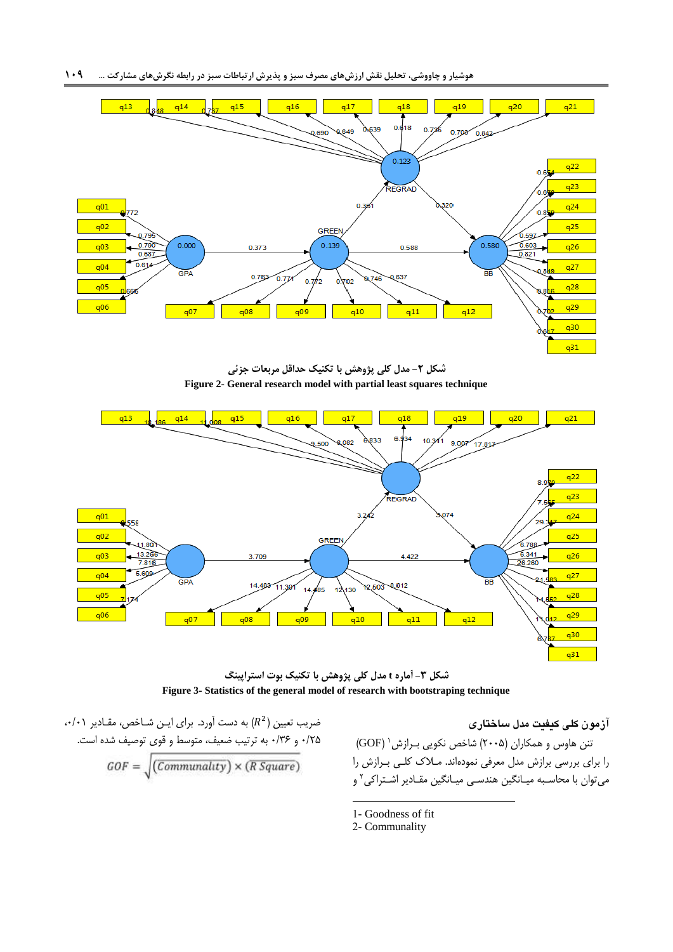

**شکل -2 مدل کلی پژوهش با تکنیک حداقل مربعات جزئی Figure 2- General research model with partial least squares technique**



**شکل -3 آماره t مدل کلی پژوهش با تکنیک بوت استراپینگ Figure 3- Statistics of the general model of research with bootstraping technique**

### **آزمون کلی کیفیت مدل ساختاری**

ننن هاوس و همکاران (۲۰۰۵) شاخص نکويی بــرازش ' (GOF) را برای بررسی برازش مدل معرفی نمود اند. مبالک کلب ی ببرازش را میتوان با محاسـبه ميـانگين هندسـی ميـانگين مقـادير اشـتراکی<sup>۲</sup> و

- $\langle\,\cdot\,/\,\cdot\,\rangle$  به دست آورد. برای ايـن شـاخص، مقـادير ۰/۰۱، ۲۵/۰ و ۱۳۶/ به ترتيب ضعيف، متوسط و قوى توصيف شده است.  $\textit{GOF} = \sqrt{(\textit{Communality}) \times (\textit{R Square})}$
- 1- Goodness of fit
- 2- Communality

**.**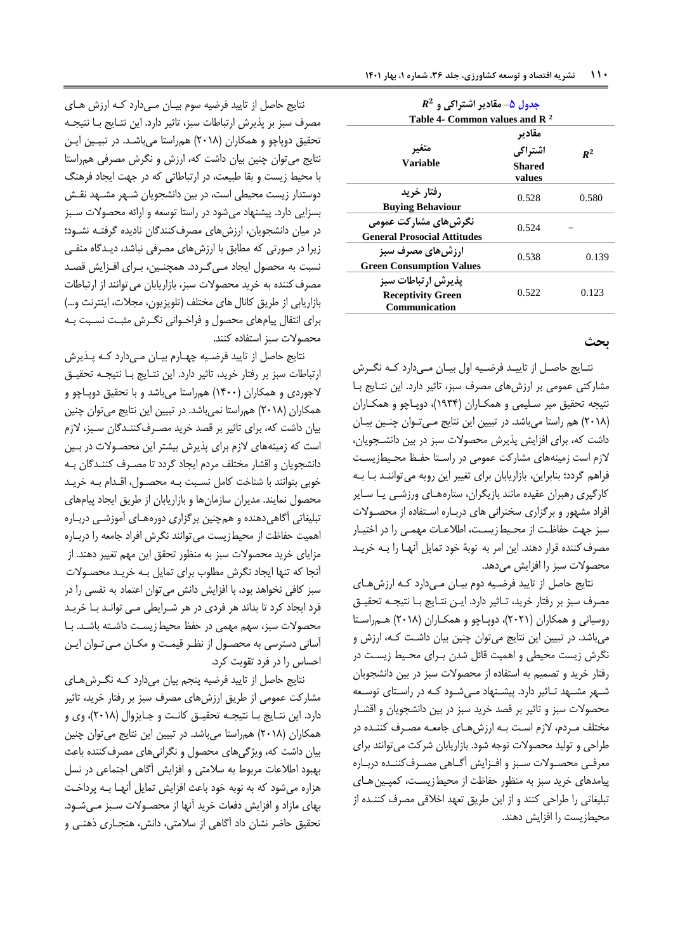<span id="page-11-0"></span>

| $R^2$ جدول ۵- مقادیر اشتراکی و<br>Table 4- Common values and $\mathbb{R}^2$ |                                              |       |  |
|-----------------------------------------------------------------------------|----------------------------------------------|-------|--|
| متعير<br><b>Variable</b>                                                    | مقادير<br>اشتراكي<br><b>Shared</b><br>values | $R^2$ |  |
| ,فتا, خريد<br><b>Buying Behaviour</b>                                       | 0.528                                        | 0.580 |  |
| نگرش های مشارکت عمومی<br><b>General Prosocial Attitudes</b>                 | 0.524                                        |       |  |
| <b>ارزش های مصرف سبز</b><br><b>Green Consumption Values</b>                 | 0.538                                        | 0.139 |  |
| يذيرش ارتباطات سبز<br><b>Receptivity Green</b><br>Communication             | 0.522                                        | 0.123 |  |

# **بحث**

نتبايج حاصبل از تاييبد فرضبيه اول بيبان مبیدارد کبه نگبرش مشارکتی عمومی بر ارزشهای مصرف سزز، تاثير دارد. اين نتبايج ببا نتيجه تحقيق مير سليمي و همکـاران (۱۹۳۴)، دوپـاچو و همکـاران (٢٠١٨) هم راستا میباشد. در تبيين اين نتايج مبی تبوان چنبين بيبان داشت که، برای افزايش پذيرش محصوالت سزز در بين دانشبجويان، لازم است زمينههای مشارکت عمومی در راستا حفيظ محيطزيست فراهم گردد؛ بنابراين، بازاريابان براي تغيير اين رويه میتواننـد بـا بـه کارگيری رهبران عقيده مانند بازيگران، ستارههـای ورزشـی يـا سـاير افراد مشهور و برگزاری سخنرانی های درباره استفاده از محصولات سزز جهت حفاظبت از محبيط زيسبت، اطالعبات مهمبی را در اختيبار مصرف کننده قرار دهند. اين امر به نوبهٔ خود تمايل آنهـا را بــه خريــد محصوالت سزز را افزايش میدهد.

نتايج حاصل از تاييد فرضبيه دوم بيبان مبی دارد کبه ارزشهبا ی مصرف سبز بر رفتار خريد، تـاثير دارد. ايـن نتـايج بـا نتيجـه تحقيـق روسيانی و همکاران (٢٠٢١)، دوپاچو و همکـاران (٢٠١٨) هـمراسـتا میباشد. در تبيين اين نتايج می توان چنين بيان داشت کـه، ارزش و نگرش زيست محيطی و اهميت قائل شدن ببرای محبيط زيسبت در رفتار خريد و تصميم به استفاد از محصوالت سزز در بين دانشجويان شبهر مشبهد تباثير دارد. پيشبنهاد مبیشبود کبه در راسبتای توسبعه محصوالت سزز و تاثير بر قصد خريد سزز در بين دانشجويان و اقشبار مختلف مبردم، لازم است ببه ارزش هبای جامعبه مصبرف کننبده در طراحی و توليد محصوالت توجه شود. بازاريابان شرکت میتوانند برای معرفـی محصـولات سـبز و افـزايش آگــاهی مصـرفکننــده دربــاره پيامدهای خريد سزز به منظور حفاظت از محيطزيسبت، کمپبين هبای تبليغاتي را طراحی کنند و از اين طريق تعهد اخلاقی مصرف کننـده از محيطزيست را افزايش دهند.

نتايج حاصل از تاييد فرضيه سوم بيبان مبی دارد کبه ارزش هبا ی مصرف سبز بر پذيرش ارتباطات سبز، تاثير دارد. اين نتـايج بــا نتيجــه تحقيق دوپاچو و همکاران (٢٠١٨) همراستا میباشـد. در تبيـين ايـن نتايج میتوان چنين بيان داشت که، ارزش و نگرش مصرفی همراستا با محيط زيست و بقا طزيعت، در ارتزاطاتی که در جهت ايجاد فرهنگ دوستدار زيست محيطی است، در بين دانشجويان شبهر مشبهد نقبش بسزايی دارد. پيشنهاد میشود در راستا توسعه و ارائه محصوالت سبزز در ميان دانشجويان، ارزشهای مصرفکنندگان ناديد گرفتبه نشبود زيرا در صورتی که مطابق با ارزشهای مصرفی نباشد، ديـدگاه منفـی نسبت به محصول ايجاد مبی گـردد. همچنـين، بـرای افـزايش قصـد مصرف کننده به خريد محصولات سبز، بازاريابان می توانند از ارتباطات بازاريابی از طريق كانال های مختلف (تلويزيون، مجلات، اينترنت و...) برای انتقال پیامهای محصول و فراخـوانی نگـرش مثبـت نسـبت بـه محصوالت سزز استفاد کنند.

نتايج حاصل از تاييد فرضبيه هبارم بيبان مبی دارد کبه پبذ يرش ارتزاطات سزز بر رفتار خريد، تاثير دارد. اين نتبايج ببا نتيجبه تحقيبق لاجوردی و همکاران (۱۴۰۰) همراستا میباشد و با تحقيق دوپاچو و همکاران (۲۰۱۸) همراستا نمیباشد. در تبيين اين نتايج میتوان چنين بيان داشت که، برای تاثير بر قصد خريد مصبرف کننبدگان سبزز، الزم است که زمينههای الزم برای پذيرش بيشتر اين محصبوالت در ببين دانشجويان و اقشار مختلف مردم ايجاد گردد تا مصـرف کننـدگان بـه خوبی بتوانند با شناخت کامل نسبزت ببه محصبول، اقبدام ببه خريبد محصول نمايند. مديران سازمانها و بازاريابان از طريق ايجاد پيامهای تبليغاتی آگاهی دهنده و هم چنين برگزاری دورههـای آموزشـی دربـاره اهميت حفاظت از محيطزيست میتوانند نگرش افراد جامعه را درببار مزايای خريد محصولات سبز به منظور تحقق اين مهم تغيير دهند. از آنجا که تنها ايجاد نگرش مطلوب برای تمايل ببه خريبد محصبوالت سزز کافی نخواهد بود، با افزايش دانش میتوان اعتماد به نفسی را در فرد ايجاد کرد تا بداند هر فردی در هر شبرايطی مبی توانبد ببا خريبد محصولات سبز، سهم مهمی در حفظ محيط زيست داشته باشد. بـا آسانی دسترسی به محصبول از نظبر قيمبت و مکبان مبی تبوان ايبن احساس را در فرد تقويت کرد.

نتايج حاصل از تاييد فرضيه پنجم بيان میدارد کبه نگبرش هبای مشارکت عمومی از طريق ارزشهای مصرف سزز بر رفتار خريد، تاثير دارد. اين نتـايج بـا نتيجــه تحقيــق كانـت و جـايزوال (٢٠١٨)، وي و همکاران (٢٠١٨) همراستا میباشد. در تبيين اين نتايج میتوان چنين بيان داشت که، ويژگی های محصول و نگرانی های مصرفکننده باعث بهزود اطالعات مربوط به سالمتی و افزايش آگاهی اجتماعی در نسل هزار میشود که به نوبه خود باعب افزايش تمايل آنهبا ببه پرداخبت بهای مازاد و افزايش دفعات خريد آنها از محصبوالت سبزز مبی شبود . تحقيق حاضر نشان داد آگاهی از سالمتی، دانش، هنجباری ههنبی و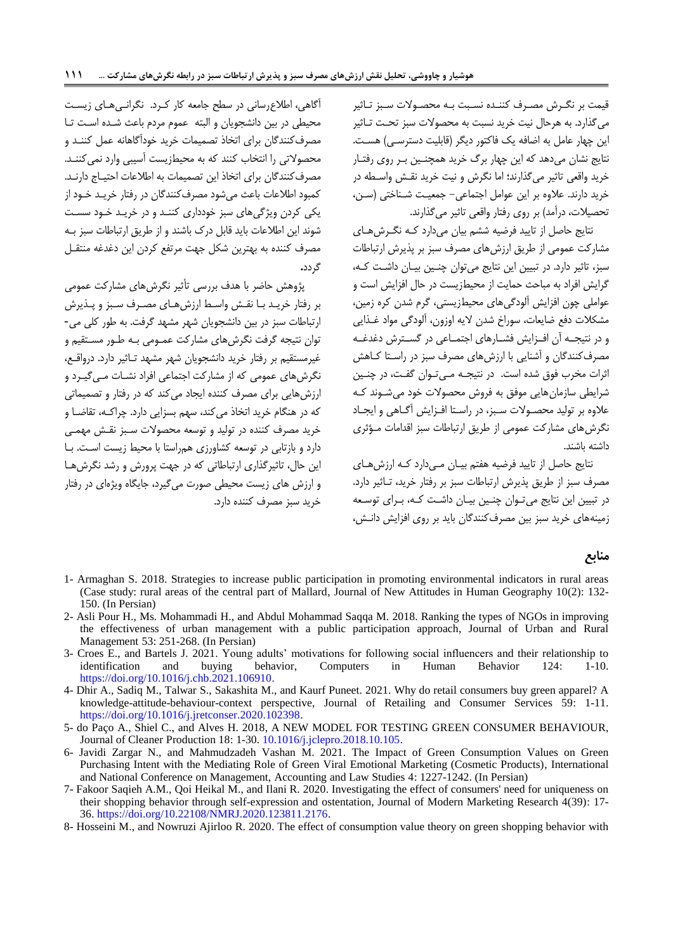قيمت بر نگبرش مصبرف کننبد نسبزت ببه محصبوالت سبزز تباثير می گذارد. به هرحال نيت خريد نسبت به محصولات سبز تحـت تـاثير اين چهار عامل به اضافه يک فاکتور ديگر (قابليت دسترسبي) هست. نتايج نشان میدهد که اين هار برگ خريد همچنبين ببر روی رفتبار خريد واقعی تاثير میگذارند اما نگرش و نيت خريد نقبش واسبطه در خريد دارند. عالو بر اين عوامل اجتماعی- جمعيبت شبناختی )سبن، تحصيلات، درآمد) بر روی رفتار واقعی تاثير می گذارند.

نتايج حاصل از تاييد فرضيه ششم بيان میدارد کبه نگبرش هبای مشارکت عمومی از طريق ارزشهای مصرف سزز بر پذيرش ارتزاطات سبز، تاثير دارد. در تبيين اين نتايج مي توان چنـين بيـان داشـت کـه، گرايش افراد به مزاحب حمايت از محيطزيست در حال افزايش است و عواملی چون افزايش آلودگیهای محيطزيستی، گرم شدن کره زمين، مشکالت دفع ضايعات، سوراخ شدن اليه اوزون، آلودگی مواد غبذايی و در نتيجـه آن افـزايش فشـارهای اجتمـاعی در گسـترش دغدغـه مصرفکنندگان و آشنايی با ارزشهای مصرف سزز در راسبتا کباهش اثرات مخرب فوق شده است. در نتيجـه مـي تـوان گفـت، در چنـين شرايطی سازمانهايی موفق به فروش محصوالت خود میشبوند کبه علاوه بر توليد محصـولات سـبز، در راسـتا افـزايش آگـاهي و ايجـاد نگرشهای مشارکت عمومی از طريق ارتزاطات سزز اقدامات مبؤثری داشته باشند.

نتايج حاصل از تاييد فرضيه هفتم بيبان مبی دارد کبه ارزشهبای مصرف سبز از طريق پذيرش ارتباطات سبز بر رفتار خريد، تباثير دارد. در تبيين اين نتايج میتوان چنـين بيـان داشـت کـه، بـرای توسـعه زمينههای خريد سزز بين مصرفکنندگان بايد بر روی افزايش دانبش،

# آگاهی، اطالارسانی در سطح جامعه کار کبرد. نگرانبی هبای زيسبت محيطی در بين دانشجويان و الزته عموم مردم باعب شبد اسبت تبا مصرفکنندگان برای اتخاه تصميمات خريد خودآگاهانه عمل کننبد و محصوالتی را انتخاب کنند که به محيطزيست آسيزی وارد نمیکننبد . مصرف کنندگان برای اتخاذ اين تصميمات به اطلاعات احتيـاج دارنـد. کمزود اطالعات باعب میشود مصرفکنندگان در رفتار خريبد خبود از يکی کردن ويژگیهای سزز خودداری کننبد و در خريبد خبود سسبت شوند اين اطالعات بايد قابل درک باشند و از طريق ارتزاطات سزز ببه مصرف کننده به بهترين شکل جهت مرتفع کردن اين دغدغه منتقـل گردد**.**

پژوهش حاضر با هدف بررسی تأثير نگرشهای مشارکت عمومی بر رفتار خريبد ببا نقبش واسبط ارزشهبای مصبرف سبزز و پبذيرش ارتزاطات سزز در بين دانشجويان شهر مشهد گرفت. به طور کلی می- توان نتيجه گرفت نگرشهای مشارکت عمبومی ببه طبور مسبتقيم و غيرمستقيم بر رفتار خريد دانشجويان شهر مشهد تباثير دارد. درواقبع، نگرشهای عمومی که از مشارکت اجتماعی افراد نشبات مبی گيبرد و ارزشهايی برای مصرف کنند ايجاد میکند که در رفتار و تصميماتی که در هنگام خريد اتخاذ می کند، سهم بسزايی دارد. چراکـه، تقاضـا و خريد مصرف کنند در توليد و توسعه محصوالت سبزز نقبش مهمبی دارد و بازتابی در توسعه کشاورزی همراستا با محيط زيست اسبت. ببا اين حال، تاثيرگذاری ارتزاطاتی که در جهت پرورش و رشد نگرشهبا و ارزش های زيست محيطی صورت می گيرد، جايگاه ويژهای در رفتار خريد سبز مصرف کننده دارد.

#### **منابع**

- <span id="page-12-5"></span>1- Armaghan S. 2018. Strategies to increase public participation in promoting environmental indicators in rural areas (Case study: rural areas of the central part of Mallard, Journal of New Attitudes in Human Geography 10(2): 132- 150. (In Persian)
- <span id="page-12-3"></span>2- Asli Pour H., Ms. Mohammadi H., and Abdul Mohammad Saqqa M. 2018. Ranking the types of NGOs in improving the effectiveness of urban management with a public participation approach, Journal of Urban and Rural Management 53: 251-268. (In Persian)
- <span id="page-12-0"></span>3- Croes E., and Bartels J. 2021. Young adults' motivations for following social influencers and their relationship to identification and buying behavior, Computers in Human Behavior 124: 1-10. [https://doi.org/10.1016/j.chb.2021.106910.](https://doi.org/10.1016/j.chb.2021.106910)
- <span id="page-12-6"></span>4- Dhir A., Sadiq M., Talwar S., Sakashita M., and Kaurf Puneet. 2021. Why do retail consumers buy green apparel? A knowledge-attitude-behaviour-context perspective, Journal of Retailing and Consumer Services 59: 1-11. [https://doi.org/10.1016/j.jretconser.2020.102398.](https://doi.org/10.1016/j.jretconser.2020.102398)
- <span id="page-12-7"></span><span id="page-12-4"></span>5- do Paço A., Shiel C., and Alves H. 2018, A NEW MODEL FOR TESTING GREEN CONSUMER BEHAVIOUR, Journal of Cleaner Production 18: 1-30. [10.1016/j.jclepro.2018.10.105.](http://dx.doi.org/10.1016/j.jclepro.2018.10.105)
- <span id="page-12-2"></span>6- Javidi Zargar N., and Mahmudzadeh Vashan M. 2021. The Impact of Green Consumption Values on Green Purchasing Intent with the Mediating Role of Green Viral Emotional Marketing (Cosmetic Products), International and National Conference on Management, Accounting and Law Studies 4: 1227-1242. (In Persian)
- 7- Fakoor Saqieh A.M., Qoi Heikal M., and Ilani R. 2020. Investigating the effect of consumers' need for uniqueness on their shopping behavior through self-expression and ostentation, Journal of Modern Marketing Research 4(39): 17- 36. [https://doi.org/10.22108/NMRJ.2020.123811.2176.](https://doi.org/10.22108/NMRJ.2020.123811.2176)
- <span id="page-12-1"></span>8- Hosseini M., and Nowruzi Ajirloo R. 2020. The effect of consumption value theory on green shopping behavior with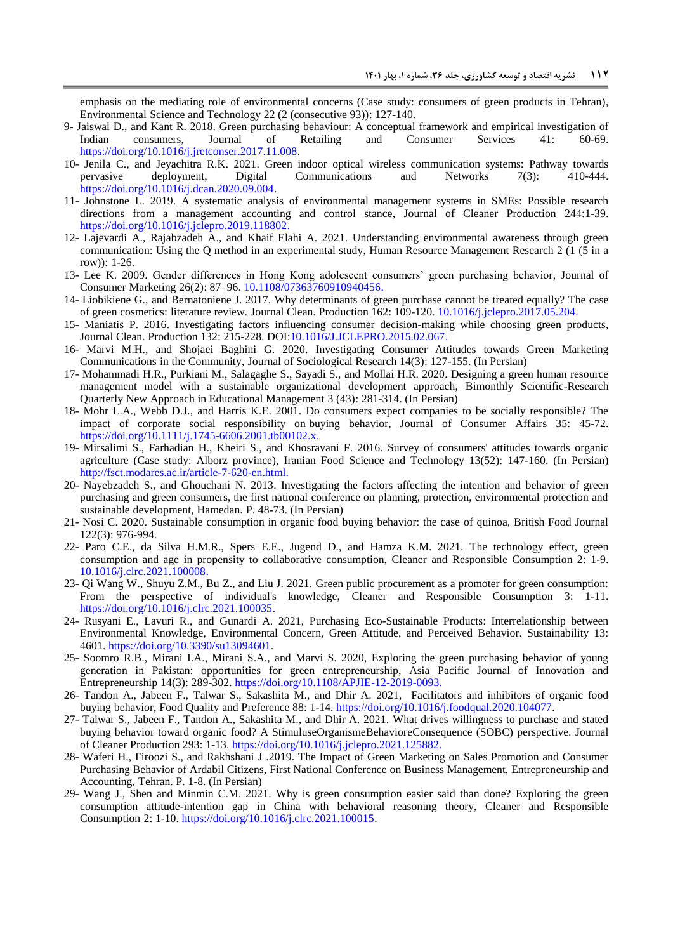emphasis on the mediating role of environmental concerns (Case study: consumers of green products in Tehran), Environmental Science and Technology 22 (2 (consecutive 93)): 127-140.

- <span id="page-13-19"></span>9- Jaiswal D., and Kant R. 2018. Green purchasing behaviour: A conceptual framework and empirical investigation of Indian consumers, Journal of Retailing and Consumer Services 41: 60-69. [https://doi.org/10.1016/j.jretconser.2017.11.008.](https://doi.org/10.1016/j.jretconser.2017.11.008)
- <span id="page-13-12"></span>10- Jenila C., and Jeyachitra R.K. 2021. Green indoor optical wireless communication systems: Pathway towards pervasive deployment, Digital Communications and Networks 7(3): 410-444. [https://doi.org/10.1016/j.dcan.2020.09.004.](https://doi.org/10.1016/j.dcan.2020.09.004)
- <span id="page-13-0"></span>11- Johnstone L. 2019. A systematic analysis of environmental management systems in SMEs: Possible research directions from a management accounting and control stance, Journal of Cleaner Production 244:1-39. [https://doi.org/10.1016/j.jclepro.2019.118802.](https://doi.org/10.1016/j.jclepro.2019.118802)
- <span id="page-13-18"></span>12- Lajevardi A., Rajabzadeh A., and Khaif Elahi A. 2021. Understanding environmental awareness through green communication: Using the Q method in an experimental study, Human Resource Management Research 2 (1 (5 in a row)): 1-26.
- 13- Lee K. 2009. Gender differences in Hong Kong adolescent consumers' green purchasing behavior, Journal of Consumer Marketing 26(2): 87–96. [10.1108/07363760910940456.](http://dx.doi.org/10.1108/07363760910940456)
- <span id="page-13-6"></span>14- Liobikiene G., and Bernatoniene J. 2017. Why determinants of green purchase cannot be treated equally? The case of green cosmetics: literature review. Journal Clean. Production 162: 109-120. [10.1016/j.jclepro.2017.05.204.](http://dx.doi.org/10.1016/j.jclepro.2017.05.204)
- <span id="page-13-11"></span>15- Maniatis P. 2016. Investigating factors influencing consumer decision-making while choosing green products, Journal Clean. Production 132: 215-228. DO[I:10.1016/J.JCLEPRO.2015.02.067.](https://doi.org/10.1016/J.JCLEPRO.2015.02.067)
- <span id="page-13-10"></span>16- Marvi M.H., and Shojaei Baghini G. 2020. Investigating Consumer Attitudes towards Green Marketing Communications in the Community, Journal of Sociological Research 14(3): 127-155. (In Persian)
- <span id="page-13-5"></span>17- Mohammadi H.R., Purkiani M., Salagaghe S., Sayadi S., and Mollai H.R. 2020. Designing a green human resource management model with a sustainable organizational development approach, Bimonthly Scientific-Research Quarterly New Approach in Educational Management 3 (43): 281-314. (In Persian)
- <span id="page-13-7"></span>18- Mohr L.A., Webb D.J., and Harris K.E. 2001. Do consumers expect companies to be socially responsible? The impact of corporate social responsibility on buying behavior, Journal of Consumer Affairs 35: 45-72. [https://doi.org/10.1111/j.1745-6606.2001.tb00102.x.](https://doi.org/10.1111/j.1745-6606.2001.tb00102.x)
- <span id="page-13-17"></span>19- Mirsalimi S., Farhadian H., Kheiri S., and Khosravani F. 2016. Survey of consumers' attitudes towards organic agriculture (Case study: Alborz province), Iranian Food Science and Technology 13(52): 147-160. (In Persian) [http://fsct.modares.ac.ir/article-7-620-en.html.](http://fsct.modares.ac.ir/article-7-620-en.html)
- <span id="page-13-1"></span>20- Nayebzadeh S., and Ghouchani N. 2013. Investigating the factors affecting the intention and behavior of green purchasing and green consumers, the first national conference on planning, protection, environmental protection and sustainable development, Hamedan. P. 48-73. (In Persian)
- <span id="page-13-4"></span>21- Nosi C. 2020. Sustainable consumption in organic food buying behavior: the case of quinoa, British Food Journal 122(3): 976-994.
- <span id="page-13-13"></span>22- Paro C.E., da Silva H.M.R., Spers E.E., Jugend D., and Hamza K.M. 2021. The technology effect, green consumption and age in propensity to collaborative consumption, Cleaner and Responsible Consumption 2: 1-9. [10.1016/j.clrc.2021.100008.](https://doi.org/10.1016/j.clrc.2021.100008)
- <span id="page-13-15"></span>23- Qi Wang W., Shuyu Z.M., Bu Z., and Liu J. 2021. Green public procurement as a promoter for green consumption: From the perspective of individual's knowledge, Cleaner and Responsible Consumption 3: 1-11. [https://doi.org/10.1016/j.clrc.2021.100035.](https://doi.org/10.1016/j.clrc.2021.100035)
- <span id="page-13-16"></span>24- Rusyani E., Lavuri R., and Gunardi A. 2021, Purchasing Eco-Sustainable Products: Interrelationship between Environmental Knowledge, Environmental Concern, Green Attitude, and Perceived Behavior. Sustainability 13: 4601. [https://doi.org/10.3390/su13094601.](https://doi.org/10.3390/su13094601)
- <span id="page-13-3"></span>25- Soomro R.B., Mirani I.A., Mirani S.A., and Marvi S. 2020, Exploring the green purchasing behavior of young generation in Pakistan: opportunities for green entrepreneurship, Asia Pacific Journal of Innovation and Entrepreneurship 14(3): 289-302[. https://doi.org/10.1108/APJIE-12-2019-0093.](https://doi.org/10.1108/APJIE-12-2019-0093)
- <span id="page-13-8"></span>26- Tandon A., Jabeen F., Talwar S., Sakashita M., and Dhir A. 2021, Facilitators and inhibitors of organic food buying behavior, Food Quality and Preference 88: 1-14[. https://doi.org/10.1016/j.foodqual.2020.104077.](https://doi.org/10.1016/j.foodqual.2020.104077)
- <span id="page-13-2"></span>27- Talwar S., Jabeen F., Tandon A., Sakashita M., and Dhir A. 2021. What drives willingness to purchase and stated buying behavior toward organic food? A StimuluseOrganismeBehavioreConsequence (SOBC) perspective. Journal of Cleaner Production 293: 1-13. [https://doi.org/10.1016/j.jclepro.2021.125882.](https://doi.org/10.1016/j.jclepro.2021.125882)
- <span id="page-13-9"></span>28- Waferi H., Firoozi S., and Rakhshani J .2019. The Impact of Green Marketing on Sales Promotion and Consumer Purchasing Behavior of Ardabil Citizens, First National Conference on Business Management, Entrepreneurship and Accounting, Tehran. P. 1-8. (In Persian)
- <span id="page-13-14"></span>29- Wang J., Shen and Minmin C.M. 2021. Why is green consumption easier said than done? Exploring the green consumption attitude-intention gap in China with behavioral reasoning theory, Cleaner and Responsible Consumption 2: 1-10. [https://doi.org/10.1016/j.clrc.2021.100015.](https://doi.org/10.1016/j.clrc.2021.100015)